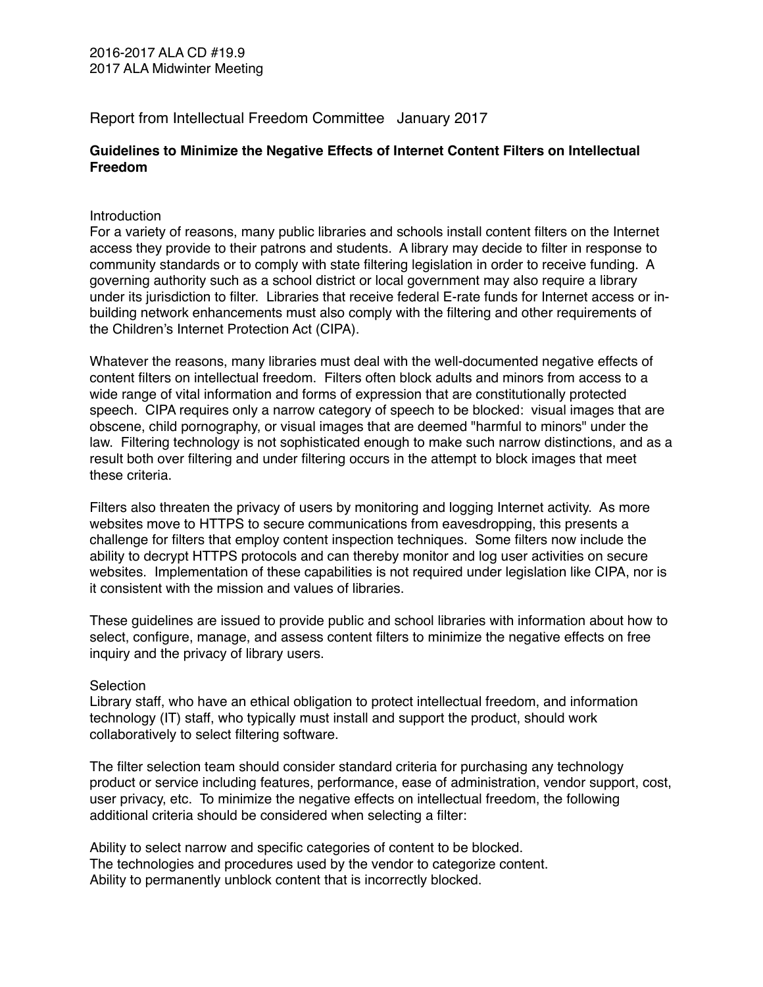Report from Intellectual Freedom Committee January 2017

# **Guidelines to Minimize the Negative Effects of Internet Content Filters on Intellectual Freedom**

### **Introduction**

For a variety of reasons, many public libraries and schools install content filters on the Internet access they provide to their patrons and students. A library may decide to filter in response to community standards or to comply with state filtering legislation in order to receive funding. A governing authority such as a school district or local government may also require a library under its jurisdiction to filter. Libraries that receive federal E-rate funds for Internet access or inbuilding network enhancements must also comply with the filtering and other requirements of the Children's Internet Protection Act (CIPA).

Whatever the reasons, many libraries must deal with the well-documented negative effects of content filters on intellectual freedom. Filters often block adults and minors from access to a wide range of vital information and forms of expression that are constitutionally protected speech. CIPA requires only a narrow category of speech to be blocked: visual images that are obscene, child pornography, or visual images that are deemed "harmful to minors" under the law. Filtering technology is not sophisticated enough to make such narrow distinctions, and as a result both over filtering and under filtering occurs in the attempt to block images that meet these criteria.

Filters also threaten the privacy of users by monitoring and logging Internet activity. As more websites move to HTTPS to secure communications from eavesdropping, this presents a challenge for filters that employ content inspection techniques. Some filters now include the ability to decrypt HTTPS protocols and can thereby monitor and log user activities on secure websites. Implementation of these capabilities is not required under legislation like CIPA, nor is it consistent with the mission and values of libraries.

These guidelines are issued to provide public and school libraries with information about how to select, configure, manage, and assess content filters to minimize the negative effects on free inquiry and the privacy of library users.

### Selection

Library staff, who have an ethical obligation to protect intellectual freedom, and information technology (IT) staff, who typically must install and support the product, should work collaboratively to select filtering software.

The filter selection team should consider standard criteria for purchasing any technology product or service including features, performance, ease of administration, vendor support, cost, user privacy, etc. To minimize the negative effects on intellectual freedom, the following additional criteria should be considered when selecting a filter:

Ability to select narrow and specific categories of content to be blocked. The technologies and procedures used by the vendor to categorize content. Ability to permanently unblock content that is incorrectly blocked.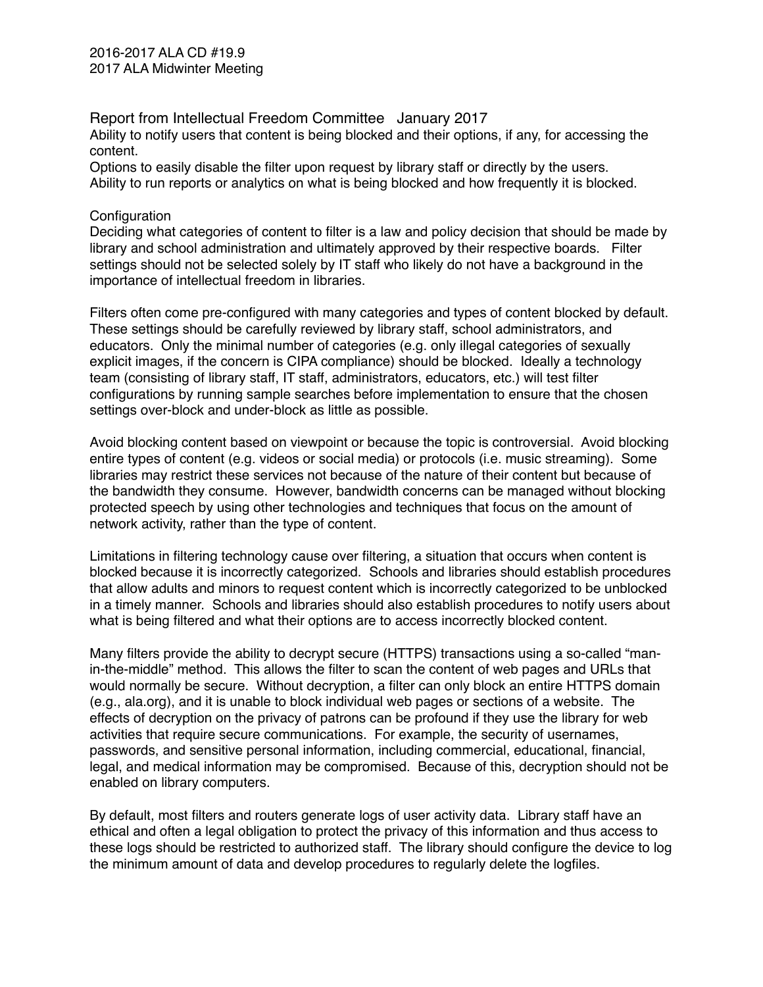2016-2017 ALA CD #19.9 2017 ALA Midwinter Meeting

Report from Intellectual Freedom Committee January 2017 Ability to notify users that content is being blocked and their options, if any, for accessing the content.

Options to easily disable the filter upon request by library staff or directly by the users. Ability to run reports or analytics on what is being blocked and how frequently it is blocked.

#### Configuration

Deciding what categories of content to filter is a law and policy decision that should be made by library and school administration and ultimately approved by their respective boards. Filter settings should not be selected solely by IT staff who likely do not have a background in the importance of intellectual freedom in libraries.

Filters often come pre-configured with many categories and types of content blocked by default. These settings should be carefully reviewed by library staff, school administrators, and educators. Only the minimal number of categories (e.g. only illegal categories of sexually explicit images, if the concern is CIPA compliance) should be blocked. Ideally a technology team (consisting of library staff, IT staff, administrators, educators, etc.) will test filter configurations by running sample searches before implementation to ensure that the chosen settings over-block and under-block as little as possible.

Avoid blocking content based on viewpoint or because the topic is controversial. Avoid blocking entire types of content (e.g. videos or social media) or protocols (i.e. music streaming). Some libraries may restrict these services not because of the nature of their content but because of the bandwidth they consume. However, bandwidth concerns can be managed without blocking protected speech by using other technologies and techniques that focus on the amount of network activity, rather than the type of content.

Limitations in filtering technology cause over filtering, a situation that occurs when content is blocked because it is incorrectly categorized. Schools and libraries should establish procedures that allow adults and minors to request content which is incorrectly categorized to be unblocked in a timely manner. Schools and libraries should also establish procedures to notify users about what is being filtered and what their options are to access incorrectly blocked content.

Many filters provide the ability to decrypt secure (HTTPS) transactions using a so-called "manin-the-middle" method. This allows the filter to scan the content of web pages and URLs that would normally be secure. Without decryption, a filter can only block an entire HTTPS domain (e.g., ala.org), and it is unable to block individual web pages or sections of a website. The effects of decryption on the privacy of patrons can be profound if they use the library for web activities that require secure communications. For example, the security of usernames, passwords, and sensitive personal information, including commercial, educational, financial, legal, and medical information may be compromised. Because of this, decryption should not be enabled on library computers.

By default, most filters and routers generate logs of user activity data. Library staff have an ethical and often a legal obligation to protect the privacy of this information and thus access to these logs should be restricted to authorized staff. The library should configure the device to log the minimum amount of data and develop procedures to regularly delete the logfiles.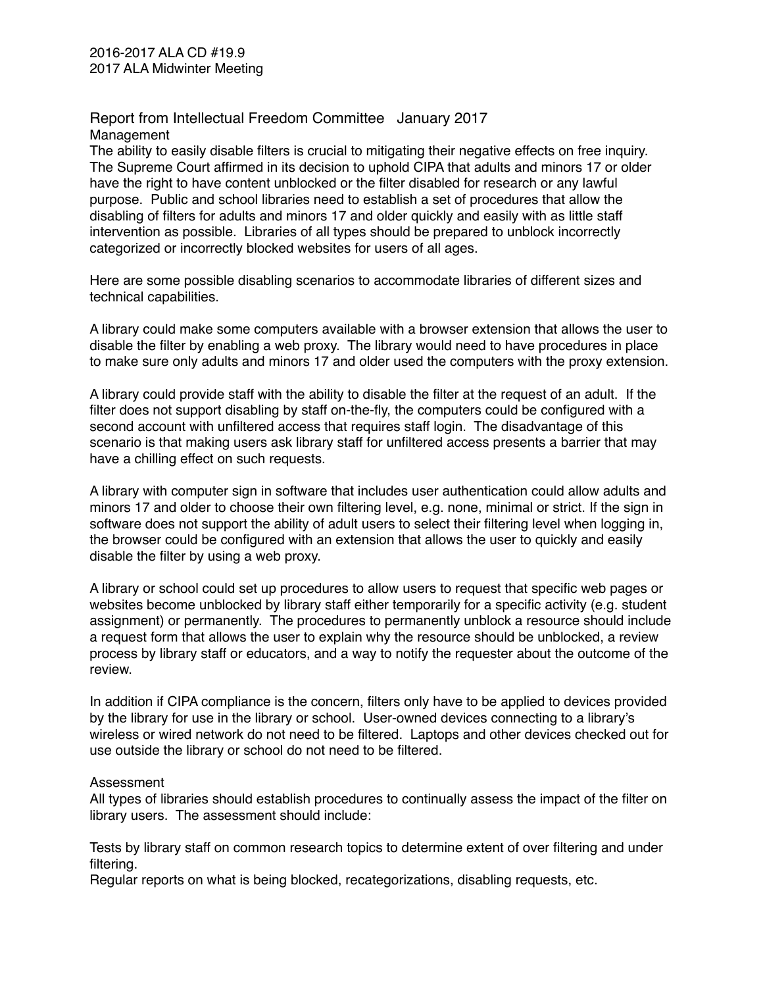## Report from Intellectual Freedom Committee January 2017 Management

The ability to easily disable filters is crucial to mitigating their negative effects on free inquiry. The Supreme Court affirmed in its decision to uphold CIPA that adults and minors 17 or older have the right to have content unblocked or the filter disabled for research or any lawful purpose. Public and school libraries need to establish a set of procedures that allow the disabling of filters for adults and minors 17 and older quickly and easily with as little staff intervention as possible. Libraries of all types should be prepared to unblock incorrectly categorized or incorrectly blocked websites for users of all ages.

Here are some possible disabling scenarios to accommodate libraries of different sizes and technical capabilities.

A library could make some computers available with a browser extension that allows the user to disable the filter by enabling a web proxy. The library would need to have procedures in place to make sure only adults and minors 17 and older used the computers with the proxy extension.

A library could provide staff with the ability to disable the filter at the request of an adult. If the filter does not support disabling by staff on-the-fly, the computers could be configured with a second account with unfiltered access that requires staff login. The disadvantage of this scenario is that making users ask library staff for unfiltered access presents a barrier that may have a chilling effect on such requests.

A library with computer sign in software that includes user authentication could allow adults and minors 17 and older to choose their own filtering level, e.g. none, minimal or strict. If the sign in software does not support the ability of adult users to select their filtering level when logging in, the browser could be configured with an extension that allows the user to quickly and easily disable the filter by using a web proxy.

A library or school could set up procedures to allow users to request that specific web pages or websites become unblocked by library staff either temporarily for a specific activity (e.g. student assignment) or permanently. The procedures to permanently unblock a resource should include a request form that allows the user to explain why the resource should be unblocked, a review process by library staff or educators, and a way to notify the requester about the outcome of the review.

In addition if CIPA compliance is the concern, filters only have to be applied to devices provided by the library for use in the library or school. User-owned devices connecting to a library's wireless or wired network do not need to be filtered. Laptops and other devices checked out for use outside the library or school do not need to be filtered.

## Assessment

All types of libraries should establish procedures to continually assess the impact of the filter on library users. The assessment should include:

Tests by library staff on common research topics to determine extent of over filtering and under filtering.

Regular reports on what is being blocked, recategorizations, disabling requests, etc.